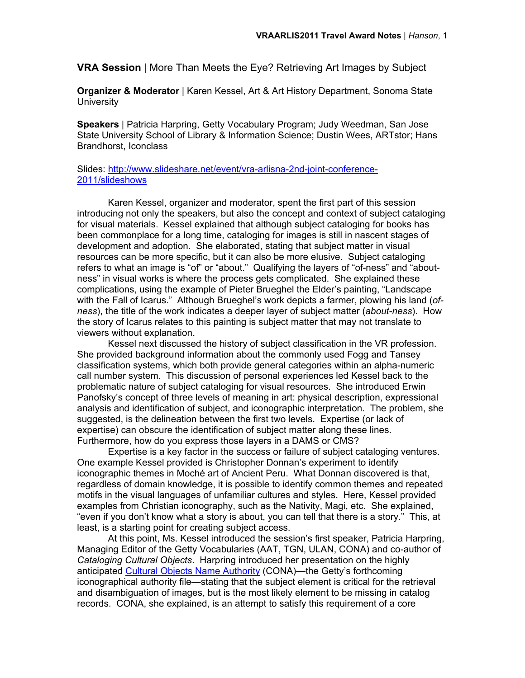**VRA Session** | More Than Meets the Eye? Retrieving Art Images by Subject

**Organizer & Moderator** | Karen Kessel, Art & Art History Department, Sonoma State **University** 

**Speakers** | Patricia Harpring, Getty Vocabulary Program; Judy Weedman, San Jose State University School of Library & Information Science; Dustin Wees, ARTstor; Hans Brandhorst, Iconclass

Slides: http://www.slideshare.net/event/vra-arlisna-2nd-joint-conference-2011/slideshows

Karen Kessel, organizer and moderator, spent the first part of this session introducing not only the speakers, but also the concept and context of subject cataloging for visual materials. Kessel explained that although subject cataloging for books has been commonplace for a long time, cataloging for images is still in nascent stages of development and adoption. She elaborated, stating that subject matter in visual resources can be more specific, but it can also be more elusive. Subject cataloging refers to what an image is "of" or "about." Qualifying the layers of "of-ness" and "aboutness" in visual works is where the process gets complicated. She explained these complications, using the example of Pieter Brueghel the Elder's painting, "Landscape with the Fall of Icarus." Although Brueghel's work depicts a farmer, plowing his land (*ofness*), the title of the work indicates a deeper layer of subject matter (*about-ness*). How the story of Icarus relates to this painting is subject matter that may not translate to viewers without explanation.

Kessel next discussed the history of subject classification in the VR profession. She provided background information about the commonly used Fogg and Tansey classification systems, which both provide general categories within an alpha-numeric call number system. This discussion of personal experiences led Kessel back to the problematic nature of subject cataloging for visual resources. She introduced Erwin Panofsky's concept of three levels of meaning in art: physical description, expressional analysis and identification of subject, and iconographic interpretation. The problem, she suggested, is the delineation between the first two levels. Expertise (or lack of expertise) can obscure the identification of subject matter along these lines. Furthermore, how do you express those layers in a DAMS or CMS?

Expertise is a key factor in the success or failure of subject cataloging ventures. One example Kessel provided is Christopher Donnan's experiment to identify iconographic themes in Moché art of Ancient Peru. What Donnan discovered is that, regardless of domain knowledge, it is possible to identify common themes and repeated motifs in the visual languages of unfamiliar cultures and styles. Here, Kessel provided examples from Christian iconography, such as the Nativity, Magi, etc. She explained, "even if you don't know what a story is about, you can tell that there is a story." This, at least, is a starting point for creating subject access.

At this point, Ms. Kessel introduced the session's first speaker, Patricia Harpring, Managing Editor of the Getty Vocabularies (AAT, TGN, ULAN, CONA) and co-author of *Cataloging Cultural Objects*. Harpring introduced her presentation on the highly anticipated Cultural Objects Name Authority (CONA)—the Getty's forthcoming iconographical authority file—stating that the subject element is critical for the retrieval and disambiguation of images, but is the most likely element to be missing in catalog records. CONA, she explained, is an attempt to satisfy this requirement of a core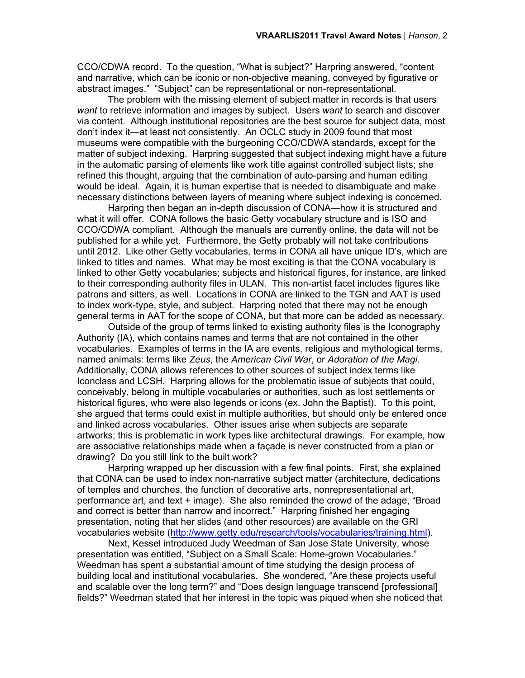CCO/CDWA record. To the question, "What is subject?" Harpring answered, "content and narrative, which can be iconic or non-objective meaning, conveyed by figurative or abstract images." "Subject" can be representational or non-representational.

The problem with the missing element of subject matter in records is that users *want* to retrieve information and images by subject. Users *want* to search and discover via content. Although institutional repositories are the best source for subject data, most don't index it—at least not consistently. An OCLC study in 2009 found that most museums were compatible with the burgeoning CCO/CDWA standards, except for the matter of subject indexing. Harpring suggested that subject indexing might have a future in the automatic parsing of elements like work title against controlled subject lists; she refined this thought, arguing that the combination of auto-parsing and human editing would be ideal. Again, it is human expertise that is needed to disambiguate and make necessary distinctions between layers of meaning where subject indexing is concerned.

Harpring then began an in-depth discussion of CONA—how it is structured and what it will offer. CONA follows the basic Getty vocabulary structure and is ISO and CCO/CDWA compliant. Although the manuals are currently online, the data will not be published for a while yet. Furthermore, the Getty probably will not take contributions until 2012. Like other Getty vocabularies, terms in CONA all have unique ID's, which are linked to titles and names. What may be most exciting is that the CONA vocabulary is linked to other Getty vocabularies; subjects and historical figures, for instance, are linked to their corresponding authority files in ULAN. This non-artist facet includes figures like patrons and sitters, as well. Locations in CONA are linked to the TGN and AAT is used to index work-type, style, and subject. Harpring noted that there may not be enough general terms in AAT for the scope of CONA, but that more can be added as necessary.

Outside of the group of terms linked to existing authority files is the Iconography Authority (IA), which contains names and terms that are not contained in the other vocabularies. Examples of terms in the IA are events, religious and mythological terms, named animals: terms like *Zeus*, the *American Civil War*, or *Adoration of the Magi*. Additionally, CONA allows references to other sources of subject index terms like Iconclass and LCSH. Harpring allows for the problematic issue of subjects that could, conceivably, belong in multiple vocabularies or authorities, such as lost settlements or historical figures, who were also legends or icons (ex. John the Baptist). To this point, she argued that terms could exist in multiple authorities, but should only be entered once and linked across vocabularies. Other issues arise when subjects are separate artworks; this is problematic in work types like architectural drawings. For example, how are associative relationships made when a façade is never constructed from a plan or drawing? Do you still link to the built work?

Harpring wrapped up her discussion with a few final points. First, she explained that CONA can be used to index non-narrative subject matter (architecture, dedications of temples and churches, the function of decorative arts, nonrepresentational art, performance art, and text + image). She also reminded the crowd of the adage, "Broad and correct is better than narrow and incorrect." Harpring finished her engaging presentation, noting that her slides (and other resources) are available on the GRI vocabularies website (http://www.getty.edu/research/tools/vocabularies/training.html).

Next, Kessel introduced Judy Weedman of San Jose State University, whose presentation was entitled, "Subject on a Small Scale: Home-grown Vocabularies." Weedman has spent a substantial amount of time studying the design process of building local and institutional vocabularies. She wondered, "Are these projects useful and scalable over the long term?" and "Does design language transcend [professional] fields?" Weedman stated that her interest in the topic was piqued when she noticed that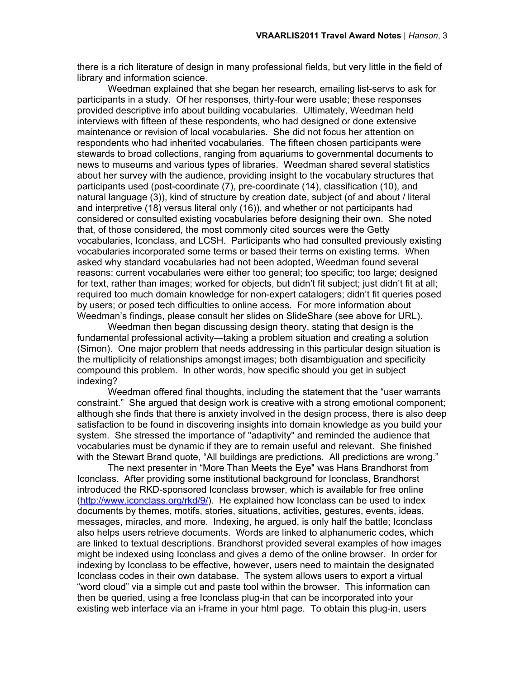there is a rich literature of design in many professional fields, but very little in the field of library and information science.

Weedman explained that she began her research, emailing list-servs to ask for participants in a study. Of her responses, thirty-four were usable; these responses provided descriptive info about building vocabularies. Ultimately, Weedman held interviews with fifteen of these respondents, who had designed or done extensive maintenance or revision of local vocabularies. She did not focus her attention on respondents who had inherited vocabularies. The fifteen chosen participants were stewards to broad collections, ranging from aquariums to governmental documents to news to museums and various types of libraries. Weedman shared several statistics about her survey with the audience, providing insight to the vocabulary structures that participants used (post-coordinate (7), pre-coordinate (14), classification (10), and natural language (3)), kind of structure by creation date, subject (of and about / literal and interpretive (18) versus literal only (16)), and whether or not participants had considered or consulted existing vocabularies before designing their own. She noted that, of those considered, the most commonly cited sources were the Getty vocabularies, Iconclass, and LCSH. Participants who had consulted previously existing vocabularies incorporated some terms or based their terms on existing terms. When asked why standard vocabularies had not been adopted, Weedman found several reasons: current vocabularies were either too general; too specific; too large; designed for text, rather than images; worked for objects, but didn't fit subject; just didn't fit at all; required too much domain knowledge for non-expert catalogers; didn't fit queries posed by users; or posed tech difficulties to online access. For more information about Weedman's findings, please consult her slides on SlideShare (see above for URL).

Weedman then began discussing design theory, stating that design is the fundamental professional activity—taking a problem situation and creating a solution (Simon). One major problem that needs addressing in this particular design situation is the multiplicity of relationships amongst images; both disambiguation and specificity compound this problem. In other words, how specific should you get in subject indexing?

Weedman offered final thoughts, including the statement that the "user warrants constraint." She argued that design work is creative with a strong emotional component; although she finds that there is anxiety involved in the design process, there is also deep satisfaction to be found in discovering insights into domain knowledge as you build your system. She stressed the importance of "adaptivity" and reminded the audience that vocabularies must be dynamic if they are to remain useful and relevant. She finished with the Stewart Brand quote, "All buildings are predictions. All predictions are wrong."

The next presenter in "More Than Meets the Eye" was Hans Brandhorst from Iconclass. After providing some institutional background for Iconclass, Brandhorst introduced the RKD-sponsored Iconclass browser, which is available for free online (http://www.iconclass.org/rkd/9/). He explained how Iconclass can be used to index documents by themes, motifs, stories, situations, activities, gestures, events, ideas, messages, miracles, and more. Indexing, he argued, is only half the battle; Iconclass also helps users retrieve documents. Words are linked to alphanumeric codes, which are linked to textual descriptions. Brandhorst provided several examples of how images might be indexed using Iconclass and gives a demo of the online browser. In order for indexing by Iconclass to be effective, however, users need to maintain the designated Iconclass codes in their own database. The system allows users to export a virtual "word cloud" via a simple cut and paste tool within the browser. This information can then be queried, using a free Iconclass plug-in that can be incorporated into your existing web interface via an i-frame in your html page. To obtain this plug-in, users